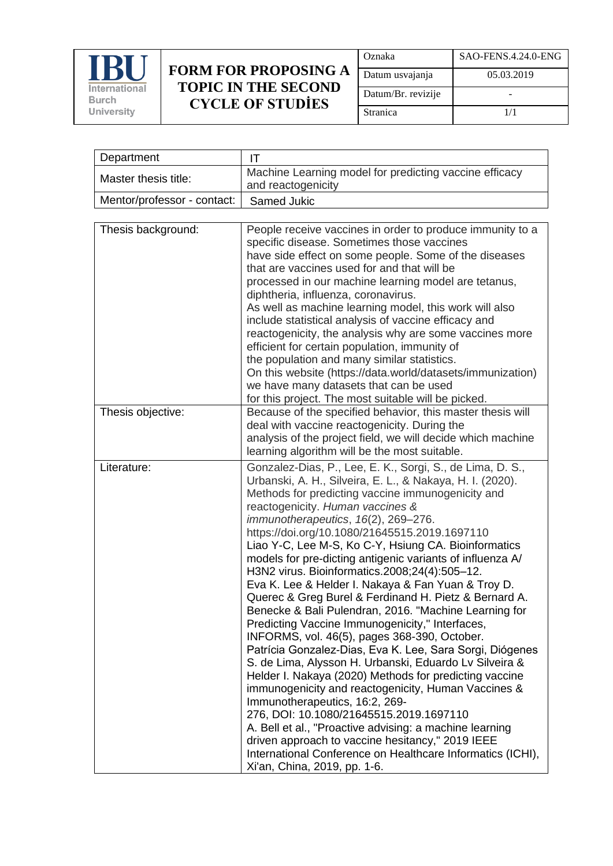

| Oznaka             | SAO-FENS.4.24.0-ENG |
|--------------------|---------------------|
| Datum usvajanja    | 05.03.2019          |
| Datum/Br. revizije |                     |
| Stranica           | 1/1                 |

| Department                  | IT                                                                                                                                                                                                                                                                                                                                                                                                                                                                                                                                                                                                                                                                                                                                                                                                                                                                                                                                                                                                                                                                                                                                                                                                                                                                                        |
|-----------------------------|-------------------------------------------------------------------------------------------------------------------------------------------------------------------------------------------------------------------------------------------------------------------------------------------------------------------------------------------------------------------------------------------------------------------------------------------------------------------------------------------------------------------------------------------------------------------------------------------------------------------------------------------------------------------------------------------------------------------------------------------------------------------------------------------------------------------------------------------------------------------------------------------------------------------------------------------------------------------------------------------------------------------------------------------------------------------------------------------------------------------------------------------------------------------------------------------------------------------------------------------------------------------------------------------|
| Master thesis title:        | Machine Learning model for predicting vaccine efficacy<br>and reactogenicity                                                                                                                                                                                                                                                                                                                                                                                                                                                                                                                                                                                                                                                                                                                                                                                                                                                                                                                                                                                                                                                                                                                                                                                                              |
| Mentor/professor - contact: | Samed Jukic                                                                                                                                                                                                                                                                                                                                                                                                                                                                                                                                                                                                                                                                                                                                                                                                                                                                                                                                                                                                                                                                                                                                                                                                                                                                               |
|                             |                                                                                                                                                                                                                                                                                                                                                                                                                                                                                                                                                                                                                                                                                                                                                                                                                                                                                                                                                                                                                                                                                                                                                                                                                                                                                           |
| Thesis background:          | People receive vaccines in order to produce immunity to a<br>specific disease. Sometimes those vaccines<br>have side effect on some people. Some of the diseases<br>that are vaccines used for and that will be<br>processed in our machine learning model are tetanus,<br>diphtheria, influenza, coronavirus.<br>As well as machine learning model, this work will also<br>include statistical analysis of vaccine efficacy and<br>reactogenicity, the analysis why are some vaccines more<br>efficient for certain population, immunity of<br>the population and many similar statistics.                                                                                                                                                                                                                                                                                                                                                                                                                                                                                                                                                                                                                                                                                               |
|                             | On this website (https://data.world/datasets/immunization)<br>we have many datasets that can be used<br>for this project. The most suitable will be picked.                                                                                                                                                                                                                                                                                                                                                                                                                                                                                                                                                                                                                                                                                                                                                                                                                                                                                                                                                                                                                                                                                                                               |
| Thesis objective:           | Because of the specified behavior, this master thesis will<br>deal with vaccine reactogenicity. During the<br>analysis of the project field, we will decide which machine<br>learning algorithm will be the most suitable.                                                                                                                                                                                                                                                                                                                                                                                                                                                                                                                                                                                                                                                                                                                                                                                                                                                                                                                                                                                                                                                                |
| Literature:                 | Gonzalez-Dias, P., Lee, E. K., Sorgi, S., de Lima, D. S.,<br>Urbanski, A. H., Silveira, E. L., & Nakaya, H. I. (2020).<br>Methods for predicting vaccine immunogenicity and<br>reactogenicity. Human vaccines &<br>immunotherapeutics, 16(2), 269-276.<br>https://doi.org/10.1080/21645515.2019.1697110<br>Liao Y-C, Lee M-S, Ko C-Y, Hsiung CA. Bioinformatics<br>models for pre-dicting antigenic variants of influenza A/<br>H3N2 virus. Bioinformatics.2008;24(4):505-12.<br>Eva K. Lee & Helder I. Nakaya & Fan Yuan & Troy D.<br>Querec & Greg Burel & Ferdinand H. Pietz & Bernard A.<br>Benecke & Bali Pulendran, 2016. "Machine Learning for<br>Predicting Vaccine Immunogenicity," Interfaces,<br>INFORMS, vol. 46(5), pages 368-390, October.<br>Patrícia Gonzalez-Dias, Eva K. Lee, Sara Sorgi, Diógenes<br>S. de Lima, Alysson H. Urbanski, Eduardo Lv Silveira &<br>Helder I. Nakaya (2020) Methods for predicting vaccine<br>immunogenicity and reactogenicity, Human Vaccines &<br>Immunotherapeutics, 16:2, 269-<br>276, DOI: 10.1080/21645515.2019.1697110<br>A. Bell et al., "Proactive advising: a machine learning<br>driven approach to vaccine hesitancy," 2019 IEEE<br>International Conference on Healthcare Informatics (ICHI),<br>Xi'an, China, 2019, pp. 1-6. |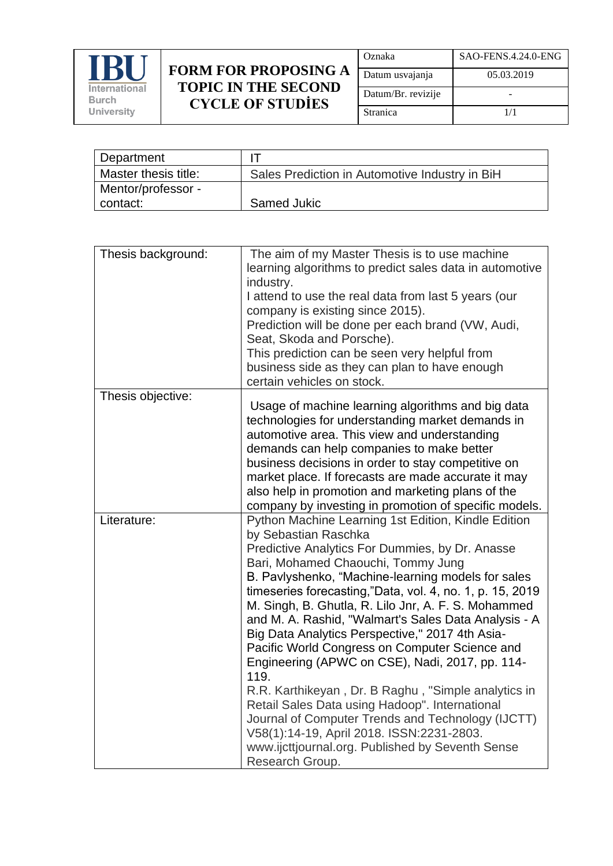

| Oznaka             | SAO-FENS.4.24.0-ENG |
|--------------------|---------------------|
| Datum usvajanja    | 05.03.2019          |
| Datum/Br. revizije |                     |
| Stranica           | 1/1                 |

| Department           |                                                |
|----------------------|------------------------------------------------|
| Master thesis title: | Sales Prediction in Automotive Industry in BiH |
| Mentor/professor -   |                                                |
| contact:             | Samed Jukic                                    |

| Thesis background: | The aim of my Master Thesis is to use machine<br>learning algorithms to predict sales data in automotive<br>industry.<br>I attend to use the real data from last 5 years (our<br>company is existing since 2015).<br>Prediction will be done per each brand (VW, Audi,<br>Seat, Skoda and Porsche).<br>This prediction can be seen very helpful from<br>business side as they can plan to have enough<br>certain vehicles on stock.                                                                                                                                                                                                                                                                                                                                                                                                                     |
|--------------------|---------------------------------------------------------------------------------------------------------------------------------------------------------------------------------------------------------------------------------------------------------------------------------------------------------------------------------------------------------------------------------------------------------------------------------------------------------------------------------------------------------------------------------------------------------------------------------------------------------------------------------------------------------------------------------------------------------------------------------------------------------------------------------------------------------------------------------------------------------|
| Thesis objective:  | Usage of machine learning algorithms and big data<br>technologies for understanding market demands in<br>automotive area. This view and understanding<br>demands can help companies to make better<br>business decisions in order to stay competitive on<br>market place. If forecasts are made accurate it may<br>also help in promotion and marketing plans of the<br>company by investing in promotion of specific models.                                                                                                                                                                                                                                                                                                                                                                                                                           |
| Literature:        | Python Machine Learning 1st Edition, Kindle Edition<br>by Sebastian Raschka<br>Predictive Analytics For Dummies, by Dr. Anasse<br>Bari, Mohamed Chaouchi, Tommy Jung<br>B. Pavlyshenko, "Machine-learning models for sales<br>timeseries forecasting,"Data, vol. 4, no. 1, p. 15, 2019<br>M. Singh, B. Ghutla, R. Lilo Jnr, A. F. S. Mohammed<br>and M. A. Rashid, "Walmart's Sales Data Analysis - A<br>Big Data Analytics Perspective," 2017 4th Asia-<br>Pacific World Congress on Computer Science and<br>Engineering (APWC on CSE), Nadi, 2017, pp. 114-<br>119.<br>R.R. Karthikeyan, Dr. B Raghu, "Simple analytics in<br>Retail Sales Data using Hadoop". International<br>Journal of Computer Trends and Technology (IJCTT)<br>V58(1):14-19, April 2018. ISSN:2231-2803.<br>www.ijcttjournal.org. Published by Seventh Sense<br>Research Group. |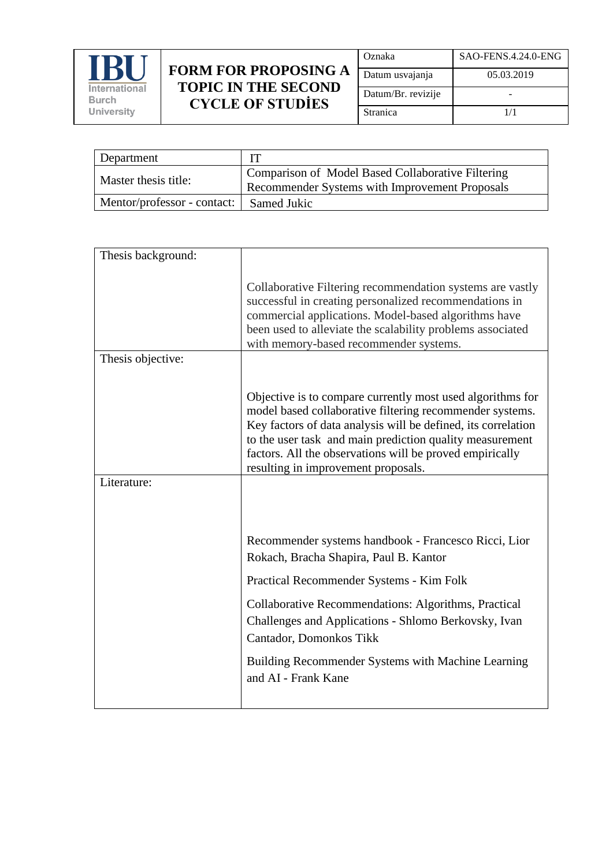

| Oznaka             | SAO-FENS.4.24.0-ENG |
|--------------------|---------------------|
| Datum usvajanja    | 05.03.2019          |
| Datum/Br. revizije |                     |
| Stranica           | 1/1                 |

| Department                  |                                                                                                     |
|-----------------------------|-----------------------------------------------------------------------------------------------------|
| Master thesis title:        | Comparison of Model Based Collaborative Filtering<br>Recommender Systems with Improvement Proposals |
| Mentor/professor - contact: | Samed Jukic                                                                                         |

| Thesis background: |                                                                                                                                                                                                                                                                                                                                                        |
|--------------------|--------------------------------------------------------------------------------------------------------------------------------------------------------------------------------------------------------------------------------------------------------------------------------------------------------------------------------------------------------|
|                    | Collaborative Filtering recommendation systems are vastly<br>successful in creating personalized recommendations in<br>commercial applications. Model-based algorithms have<br>been used to alleviate the scalability problems associated<br>with memory-based recommender systems.                                                                    |
| Thesis objective:  |                                                                                                                                                                                                                                                                                                                                                        |
|                    | Objective is to compare currently most used algorithms for<br>model based collaborative filtering recommender systems.<br>Key factors of data analysis will be defined, its correlation<br>to the user task and main prediction quality measurement<br>factors. All the observations will be proved empirically<br>resulting in improvement proposals. |
| Literature:        |                                                                                                                                                                                                                                                                                                                                                        |
|                    | Recommender systems handbook - Francesco Ricci, Lior                                                                                                                                                                                                                                                                                                   |
|                    | Rokach, Bracha Shapira, Paul B. Kantor                                                                                                                                                                                                                                                                                                                 |
|                    | Practical Recommender Systems - Kim Folk                                                                                                                                                                                                                                                                                                               |
|                    | Collaborative Recommendations: Algorithms, Practical<br>Challenges and Applications - Shlomo Berkovsky, Ivan<br>Cantador, Domonkos Tikk                                                                                                                                                                                                                |
|                    | Building Recommender Systems with Machine Learning<br>and AI - Frank Kane                                                                                                                                                                                                                                                                              |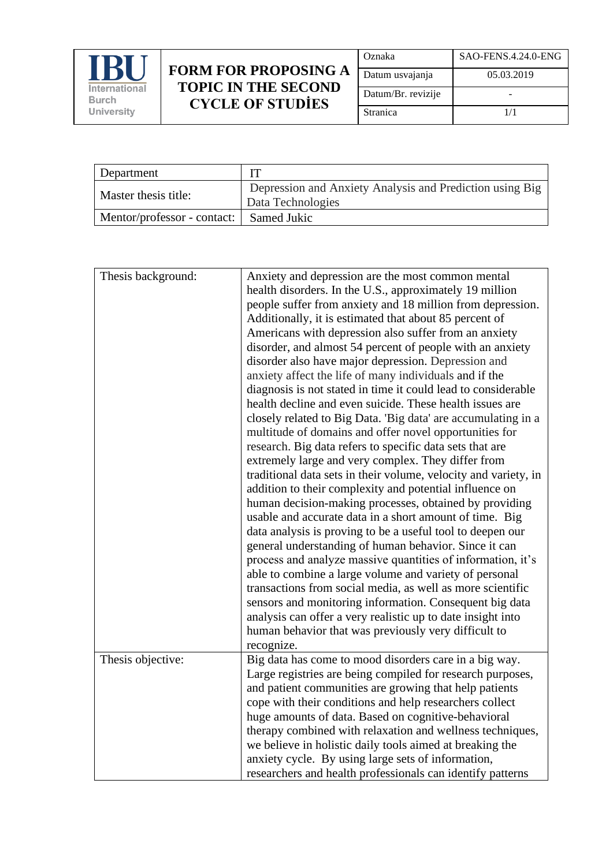

| Oznaka             | SAO-FENS.4.24.0-ENG |
|--------------------|---------------------|
| Datum usvajanja    | 05.03.2019          |
| Datum/Br. revizije |                     |
| Stranica           | 1/1                 |

| Department                  |                                                                               |
|-----------------------------|-------------------------------------------------------------------------------|
| Master thesis title:        | Depression and Anxiety Analysis and Prediction using Big<br>Data Technologies |
| Mentor/professor - contact: | Samed Jukic                                                                   |

| Thesis background: | Anxiety and depression are the most common mental               |
|--------------------|-----------------------------------------------------------------|
|                    |                                                                 |
|                    | health disorders. In the U.S., approximately 19 million         |
|                    | people suffer from anxiety and 18 million from depression.      |
|                    | Additionally, it is estimated that about 85 percent of          |
|                    | Americans with depression also suffer from an anxiety           |
|                    | disorder, and almost 54 percent of people with an anxiety       |
|                    | disorder also have major depression. Depression and             |
|                    | anxiety affect the life of many individuals and if the          |
|                    | diagnosis is not stated in time it could lead to considerable   |
|                    | health decline and even suicide. These health issues are        |
|                    | closely related to Big Data. 'Big data' are accumulating in a   |
|                    | multitude of domains and offer novel opportunities for          |
|                    | research. Big data refers to specific data sets that are        |
|                    | extremely large and very complex. They differ from              |
|                    | traditional data sets in their volume, velocity and variety, in |
|                    | addition to their complexity and potential influence on         |
|                    | human decision-making processes, obtained by providing          |
|                    | usable and accurate data in a short amount of time. Big         |
|                    | data analysis is proving to be a useful tool to deepen our      |
|                    | general understanding of human behavior. Since it can           |
|                    | process and analyze massive quantities of information, it's     |
|                    | able to combine a large volume and variety of personal          |
|                    | transactions from social media, as well as more scientific      |
|                    |                                                                 |
|                    | sensors and monitoring information. Consequent big data         |
|                    | analysis can offer a very realistic up to date insight into     |
|                    | human behavior that was previously very difficult to            |
|                    | recognize.                                                      |
| Thesis objective:  | Big data has come to mood disorders care in a big way.          |
|                    | Large registries are being compiled for research purposes,      |
|                    | and patient communities are growing that help patients          |
|                    | cope with their conditions and help researchers collect         |
|                    | huge amounts of data. Based on cognitive-behavioral             |
|                    | therapy combined with relaxation and wellness techniques,       |
|                    | we believe in holistic daily tools aimed at breaking the        |
|                    | anxiety cycle. By using large sets of information,              |
|                    | researchers and health professionals can identify patterns      |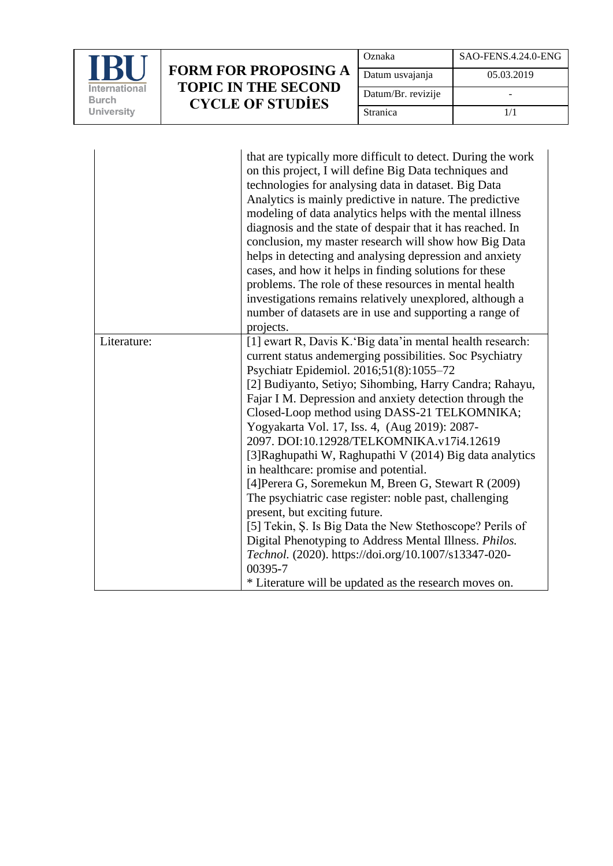

| Oznaka             | SAO-FENS.4.24.0-ENG |
|--------------------|---------------------|
| Datum usvajanja    | 05.03.2019          |
| Datum/Br. revizije |                     |
| Stranica           | 1/1                 |

|             | that are typically more difficult to detect. During the work<br>on this project, I will define Big Data techniques and<br>technologies for analysing data in dataset. Big Data<br>Analytics is mainly predictive in nature. The predictive<br>modeling of data analytics helps with the mental illness<br>diagnosis and the state of despair that it has reached. In<br>conclusion, my master research will show how Big Data<br>helps in detecting and analysing depression and anxiety<br>cases, and how it helps in finding solutions for these<br>problems. The role of these resources in mental health<br>investigations remains relatively unexplored, although a<br>number of datasets are in use and supporting a range of<br>projects.                                                                                                                                       |
|-------------|----------------------------------------------------------------------------------------------------------------------------------------------------------------------------------------------------------------------------------------------------------------------------------------------------------------------------------------------------------------------------------------------------------------------------------------------------------------------------------------------------------------------------------------------------------------------------------------------------------------------------------------------------------------------------------------------------------------------------------------------------------------------------------------------------------------------------------------------------------------------------------------|
| Literature: | [1] ewart R, Davis K. 'Big data'in mental health research:<br>current status andemerging possibilities. Soc Psychiatry<br>Psychiatr Epidemiol. 2016;51(8):1055-72<br>[2] Budiyanto, Setiyo; Sihombing, Harry Candra; Rahayu,<br>Fajar I M. Depression and anxiety detection through the<br>Closed-Loop method using DASS-21 TELKOMNIKA;<br>Yogyakarta Vol. 17, Iss. 4, (Aug 2019): 2087-<br>2097. DOI:10.12928/TELKOMNIKA.v17i4.12619<br>[3] Raghupathi W, Raghupathi V (2014) Big data analytics<br>in healthcare: promise and potential.<br>[4] Perera G, Soremekun M, Breen G, Stewart R (2009)<br>The psychiatric case register: noble past, challenging<br>present, but exciting future.<br>[5] Tekin, Ş. Is Big Data the New Stethoscope? Perils of<br>Digital Phenotyping to Address Mental Illness. Philos.<br>Technol. (2020). https://doi.org/10.1007/s13347-020-<br>00395-7 |
|             | * Literature will be updated as the research moves on.                                                                                                                                                                                                                                                                                                                                                                                                                                                                                                                                                                                                                                                                                                                                                                                                                                 |